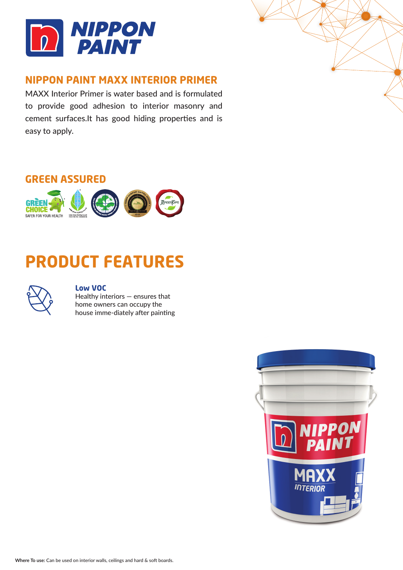

### **NIPPON PAINT MAXX INTERIOR PRIMER**

MAXX Interior Primer is water based and is formulated to provide good adhesion to interior masonry and cement surfaces.It has good hiding properties and is easy to apply.







SAFER FOR YOUR HEALTH MONTGOMBIAN CARE

### **Low VOC**

Healthy interiors — ensures that home owners can occupy the house imme-diately after painting